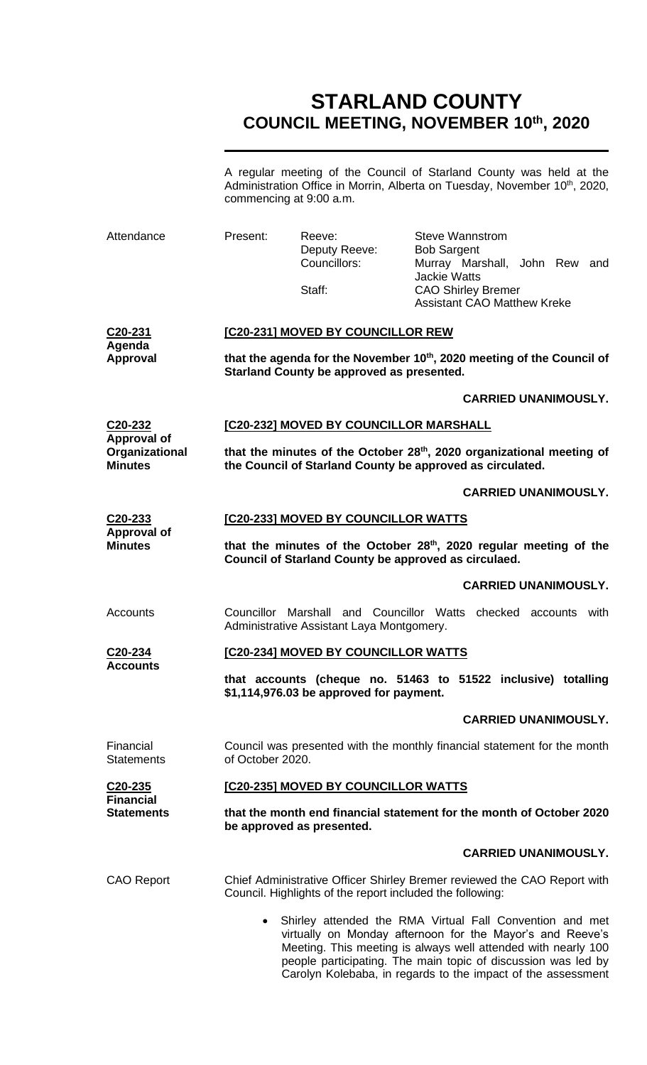# **STARLAND COUNTY COUNCIL MEETING, NOVEMBER 10th, 2020**

A regular meeting of the Council of Starland County was held at the Administration Office in Morrin, Alberta on Tuesday, November 10<sup>th</sup>, 2020, commencing at 9:00 a.m.

| Attendance                                             | Present:                                                                                                                                                                                                                                                                                                                             | Reeve:<br>Deputy Reeve:<br>Councillors:<br>Staff:         | Steve Wannstrom<br><b>Bob Sargent</b><br>Murray Marshall, John Rew and<br><b>Jackie Watts</b><br><b>CAO Shirley Bremer</b><br><b>Assistant CAO Matthew Kreke</b> |  |  |
|--------------------------------------------------------|--------------------------------------------------------------------------------------------------------------------------------------------------------------------------------------------------------------------------------------------------------------------------------------------------------------------------------------|-----------------------------------------------------------|------------------------------------------------------------------------------------------------------------------------------------------------------------------|--|--|
| C <sub>20</sub> -231                                   | [C20-231] MOVED BY COUNCILLOR REW                                                                                                                                                                                                                                                                                                    |                                                           |                                                                                                                                                                  |  |  |
| Agenda<br><b>Approval</b>                              | that the agenda for the November 10th, 2020 meeting of the Council of<br>Starland County be approved as presented.                                                                                                                                                                                                                   |                                                           |                                                                                                                                                                  |  |  |
|                                                        |                                                                                                                                                                                                                                                                                                                                      |                                                           | <b>CARRIED UNANIMOUSLY.</b>                                                                                                                                      |  |  |
| $C20-232$                                              | [C20-232] MOVED BY COUNCILLOR MARSHALL                                                                                                                                                                                                                                                                                               |                                                           |                                                                                                                                                                  |  |  |
| <b>Approval of</b><br>Organizational<br><b>Minutes</b> | that the minutes of the October 28th, 2020 organizational meeting of<br>the Council of Starland County be approved as circulated.                                                                                                                                                                                                    |                                                           |                                                                                                                                                                  |  |  |
|                                                        |                                                                                                                                                                                                                                                                                                                                      |                                                           | <b>CARRIED UNANIMOUSLY.</b>                                                                                                                                      |  |  |
| C20-233                                                | [C20-233] MOVED BY COUNCILLOR WATTS                                                                                                                                                                                                                                                                                                  |                                                           |                                                                                                                                                                  |  |  |
| <b>Approval of</b><br><b>Minutes</b>                   | that the minutes of the October 28 <sup>th</sup> , 2020 regular meeting of the<br>Council of Starland County be approved as circulaed.                                                                                                                                                                                               |                                                           |                                                                                                                                                                  |  |  |
|                                                        |                                                                                                                                                                                                                                                                                                                                      |                                                           | <b>CARRIED UNANIMOUSLY.</b>                                                                                                                                      |  |  |
| Accounts                                               | Councillor                                                                                                                                                                                                                                                                                                                           | Administrative Assistant Laya Montgomery.                 | Marshall and Councillor Watts checked accounts<br>with                                                                                                           |  |  |
| C20-234                                                | [C20-234] MOVED BY COUNCILLOR WATTS                                                                                                                                                                                                                                                                                                  |                                                           |                                                                                                                                                                  |  |  |
| <b>Accounts</b>                                        | that accounts (cheque no. 51463 to 51522 inclusive) totalling<br>\$1,114,976.03 be approved for payment.                                                                                                                                                                                                                             |                                                           |                                                                                                                                                                  |  |  |
|                                                        |                                                                                                                                                                                                                                                                                                                                      |                                                           | <b>CARRIED UNANIMOUSLY.</b>                                                                                                                                      |  |  |
| Financial<br><b>Statements</b>                         | of October 2020.                                                                                                                                                                                                                                                                                                                     |                                                           | Council was presented with the monthly financial statement for the month                                                                                         |  |  |
| C20-235                                                | [C20-235] MOVED BY COUNCILLOR WATTS                                                                                                                                                                                                                                                                                                  |                                                           |                                                                                                                                                                  |  |  |
| <b>Financial</b><br><b>Statements</b>                  | that the month end financial statement for the month of October 2020<br>be approved as presented.                                                                                                                                                                                                                                    |                                                           |                                                                                                                                                                  |  |  |
|                                                        |                                                                                                                                                                                                                                                                                                                                      |                                                           | <b>CARRIED UNANIMOUSLY.</b>                                                                                                                                      |  |  |
| <b>CAO Report</b>                                      |                                                                                                                                                                                                                                                                                                                                      | Council. Highlights of the report included the following: | Chief Administrative Officer Shirley Bremer reviewed the CAO Report with                                                                                         |  |  |
|                                                        | Shirley attended the RMA Virtual Fall Convention and met<br>$\bullet$<br>virtually on Monday afternoon for the Mayor's and Reeve's<br>Meeting. This meeting is always well attended with nearly 100<br>people participating. The main topic of discussion was led by<br>Carolyn Kolebaba, in regards to the impact of the assessment |                                                           |                                                                                                                                                                  |  |  |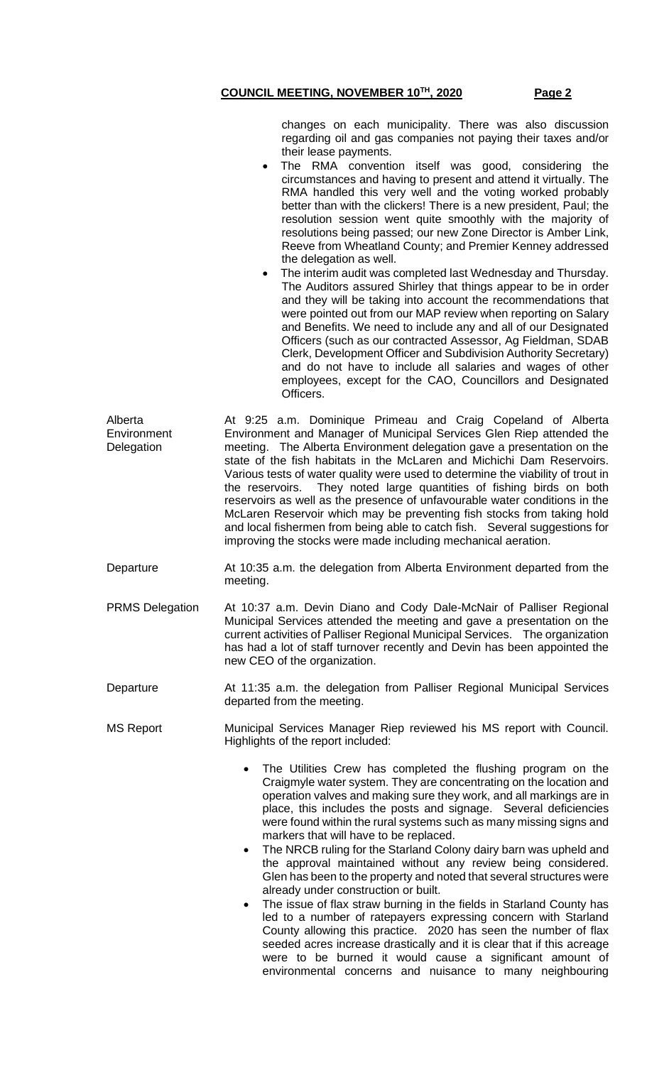changes on each municipality. There was also discussion regarding oil and gas companies not paying their taxes and/or their lease payments.

- The RMA convention itself was good, considering the circumstances and having to present and attend it virtually. The RMA handled this very well and the voting worked probably better than with the clickers! There is a new president, Paul; the resolution session went quite smoothly with the majority of resolutions being passed; our new Zone Director is Amber Link, Reeve from Wheatland County; and Premier Kenney addressed the delegation as well.
- The interim audit was completed last Wednesday and Thursday. The Auditors assured Shirley that things appear to be in order and they will be taking into account the recommendations that were pointed out from our MAP review when reporting on Salary and Benefits. We need to include any and all of our Designated Officers (such as our contracted Assessor, Ag Fieldman, SDAB Clerk, Development Officer and Subdivision Authority Secretary) and do not have to include all salaries and wages of other employees, except for the CAO, Councillors and Designated Officers.

| Alberta                                                                | At 9:25 a.m. Dominique Primeau and Craig Copeland of Alberta                    |  |  |  |  |
|------------------------------------------------------------------------|---------------------------------------------------------------------------------|--|--|--|--|
| Environment                                                            | Environment and Manager of Municipal Services Glen Riep attended the            |  |  |  |  |
| Delegation                                                             | meeting. The Alberta Environment delegation gave a presentation on the          |  |  |  |  |
| state of the fish habitats in the McLaren and Michichi Dam Reservoirs. |                                                                                 |  |  |  |  |
|                                                                        | Various tests of water quality were used to determine the viability of trout in |  |  |  |  |
|                                                                        | the reservoirs. They noted large quantities of fishing birds on both            |  |  |  |  |
|                                                                        | reservoirs as well as the presence of unfavourable water conditions in the      |  |  |  |  |
|                                                                        | McLaren Reservoir which may be preventing fish stocks from taking hold          |  |  |  |  |
|                                                                        | and local fishermen from being able to catch fish. Several suggestions for      |  |  |  |  |
|                                                                        | improving the stocks were made including mechanical aeration.                   |  |  |  |  |
|                                                                        |                                                                                 |  |  |  |  |

- Departure At 10:35 a.m. the delegation from Alberta Environment departed from the meeting.
- PRMS Delegation At 10:37 a.m. Devin Diano and Cody Dale-McNair of Palliser Regional Municipal Services attended the meeting and gave a presentation on the current activities of Palliser Regional Municipal Services. The organization has had a lot of staff turnover recently and Devin has been appointed the new CEO of the organization.
- Departure At 11:35 a.m. the delegation from Palliser Regional Municipal Services departed from the meeting.
- MS Report Municipal Services Manager Riep reviewed his MS report with Council. Highlights of the report included:
	- The Utilities Crew has completed the flushing program on the Craigmyle water system. They are concentrating on the location and operation valves and making sure they work, and all markings are in place, this includes the posts and signage. Several deficiencies were found within the rural systems such as many missing signs and markers that will have to be replaced.
	- The NRCB ruling for the Starland Colony dairy barn was upheld and the approval maintained without any review being considered. Glen has been to the property and noted that several structures were already under construction or built.
	- The issue of flax straw burning in the fields in Starland County has led to a number of ratepayers expressing concern with Starland County allowing this practice. 2020 has seen the number of flax seeded acres increase drastically and it is clear that if this acreage were to be burned it would cause a significant amount of environmental concerns and nuisance to many neighbouring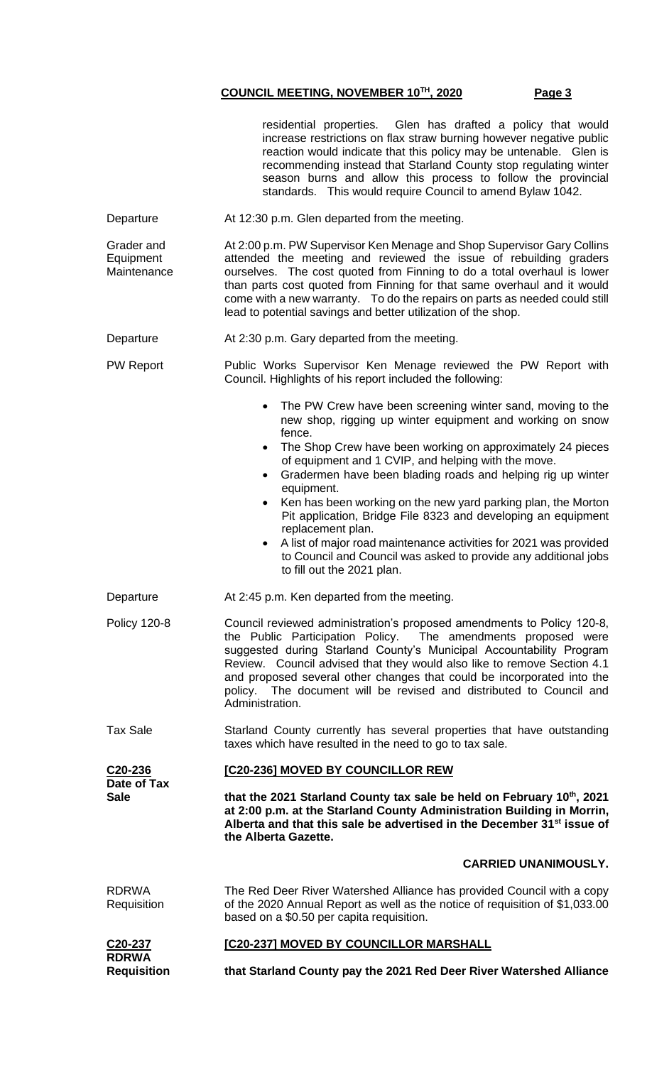| C20-236<br>Date of Tax<br><b>Sale</b>  | [C20-236] MOVED BY COUNCILLOR REW<br>that the 2021 Starland County tax sale be held on February 10th, 2021<br>at 2:00 p.m. at the Starland County Administration Building in Morrin,                                                                                                                                                                                                                                                                          |  |  |
|----------------------------------------|---------------------------------------------------------------------------------------------------------------------------------------------------------------------------------------------------------------------------------------------------------------------------------------------------------------------------------------------------------------------------------------------------------------------------------------------------------------|--|--|
| <b>Tax Sale</b>                        | Starland County currently has several properties that have outstanding<br>taxes which have resulted in the need to go to tax sale.                                                                                                                                                                                                                                                                                                                            |  |  |
| <b>Policy 120-8</b>                    | Council reviewed administration's proposed amendments to Policy 120-8,<br>the Public Participation Policy. The amendments proposed were<br>suggested during Starland County's Municipal Accountability Program<br>Review. Council advised that they would also like to remove Section 4.1<br>and proposed several other changes that could be incorporated into the<br>policy. The document will be revised and distributed to Council and<br>Administration. |  |  |
| Departure                              | At 2:45 p.m. Ken departed from the meeting.                                                                                                                                                                                                                                                                                                                                                                                                                   |  |  |
|                                        | equipment.<br>Ken has been working on the new yard parking plan, the Morton<br>Pit application, Bridge File 8323 and developing an equipment<br>replacement plan.<br>A list of major road maintenance activities for 2021 was provided<br>to Council and Council was asked to provide any additional jobs<br>to fill out the 2021 plan.                                                                                                                       |  |  |
|                                        | fence.<br>The Shop Crew have been working on approximately 24 pieces<br>$\bullet$<br>of equipment and 1 CVIP, and helping with the move.<br>Gradermen have been blading roads and helping rig up winter                                                                                                                                                                                                                                                       |  |  |
|                                        | The PW Crew have been screening winter sand, moving to the<br>new shop, rigging up winter equipment and working on snow                                                                                                                                                                                                                                                                                                                                       |  |  |
| <b>PW Report</b>                       | Public Works Supervisor Ken Menage reviewed the PW Report with<br>Council. Highlights of his report included the following:                                                                                                                                                                                                                                                                                                                                   |  |  |
| Departure                              | At 2:30 p.m. Gary departed from the meeting.                                                                                                                                                                                                                                                                                                                                                                                                                  |  |  |
| Grader and<br>Equipment<br>Maintenance | At 2:00 p.m. PW Supervisor Ken Menage and Shop Supervisor Gary Collins<br>attended the meeting and reviewed the issue of rebuilding graders<br>ourselves. The cost quoted from Finning to do a total overhaul is lower<br>than parts cost quoted from Finning for that same overhaul and it would<br>come with a new warranty. To do the repairs on parts as needed could still<br>lead to potential savings and better utilization of the shop.              |  |  |
| Departure                              | At 12:30 p.m. Glen departed from the meeting.                                                                                                                                                                                                                                                                                                                                                                                                                 |  |  |
|                                        | residential properties. Glen has drafted a policy that would<br>increase restrictions on flax straw burning however negative public<br>reaction would indicate that this policy may be untenable. Glen is<br>recommending instead that Starland County stop regulating winter<br>season burns and allow this process to follow the provincial<br>standards. This would require Council to amend Bylaw 1042.                                                   |  |  |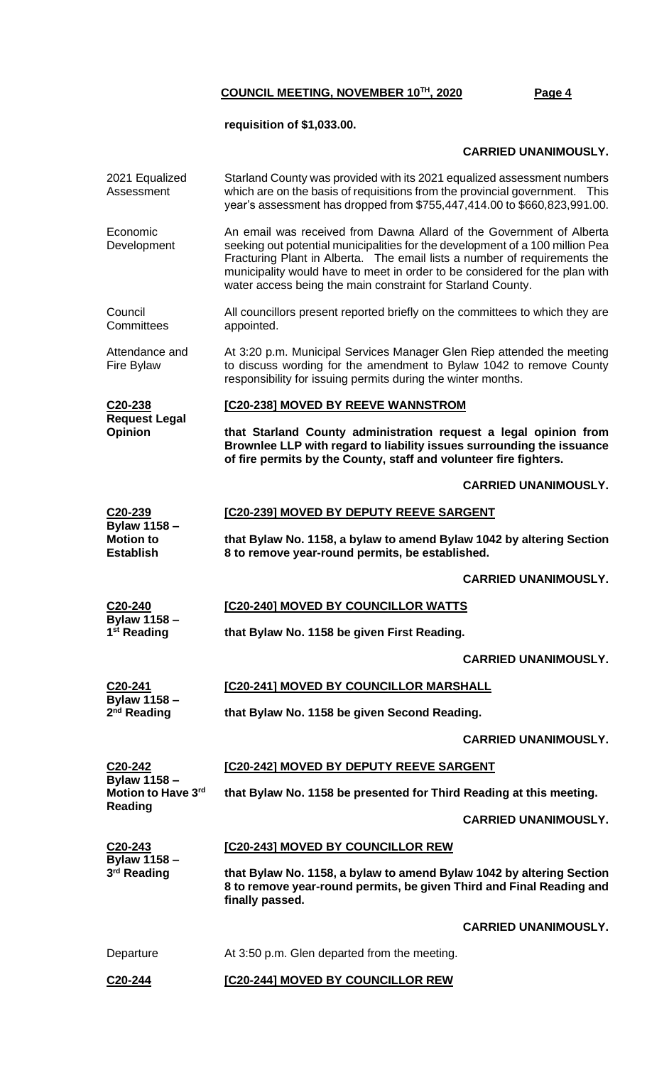# **requisition of \$1,033.00.**

## **CARRIED UNANIMOUSLY.**

| 2021 Equalized<br>Assessment                                                | Starland County was provided with its 2021 equalized assessment numbers<br>which are on the basis of requisitions from the provincial government. This<br>year's assessment has dropped from \$755,447,414.00 to \$660,823,991.00.                                                                                                                                               |  |  |
|-----------------------------------------------------------------------------|----------------------------------------------------------------------------------------------------------------------------------------------------------------------------------------------------------------------------------------------------------------------------------------------------------------------------------------------------------------------------------|--|--|
| Economic<br>Development                                                     | An email was received from Dawna Allard of the Government of Alberta<br>seeking out potential municipalities for the development of a 100 million Pea<br>Fracturing Plant in Alberta. The email lists a number of requirements the<br>municipality would have to meet in order to be considered for the plan with<br>water access being the main constraint for Starland County. |  |  |
| Council<br>Committees                                                       | All councillors present reported briefly on the committees to which they are<br>appointed.                                                                                                                                                                                                                                                                                       |  |  |
| Attendance and<br>Fire Bylaw                                                | At 3:20 p.m. Municipal Services Manager Glen Riep attended the meeting<br>to discuss wording for the amendment to Bylaw 1042 to remove County<br>responsibility for issuing permits during the winter months.                                                                                                                                                                    |  |  |
| C <sub>20</sub> -238                                                        | [C20-238] MOVED BY REEVE WANNSTROM                                                                                                                                                                                                                                                                                                                                               |  |  |
| <b>Request Legal</b><br>Opinion                                             | that Starland County administration request a legal opinion from<br>Brownlee LLP with regard to liability issues surrounding the issuance<br>of fire permits by the County, staff and volunteer fire fighters.                                                                                                                                                                   |  |  |
|                                                                             | <b>CARRIED UNANIMOUSLY.</b>                                                                                                                                                                                                                                                                                                                                                      |  |  |
| C20-239                                                                     | [C20-239] MOVED BY DEPUTY REEVE SARGENT                                                                                                                                                                                                                                                                                                                                          |  |  |
| <b>Bylaw 1158 -</b><br><b>Motion to</b><br><b>Establish</b>                 | that Bylaw No. 1158, a bylaw to amend Bylaw 1042 by altering Section<br>8 to remove year-round permits, be established.                                                                                                                                                                                                                                                          |  |  |
|                                                                             | <b>CARRIED UNANIMOUSLY.</b>                                                                                                                                                                                                                                                                                                                                                      |  |  |
| C20-240                                                                     | [C20-240] MOVED BY COUNCILLOR WATTS                                                                                                                                                                                                                                                                                                                                              |  |  |
| Bylaw 1158-<br>1 <sup>st</sup> Reading                                      | that Bylaw No. 1158 be given First Reading.                                                                                                                                                                                                                                                                                                                                      |  |  |
|                                                                             | <b>CARRIED UNANIMOUSLY.</b>                                                                                                                                                                                                                                                                                                                                                      |  |  |
| C <sub>20</sub> -241                                                        | [C20-241] MOVED BY COUNCILLOR MARSHALL                                                                                                                                                                                                                                                                                                                                           |  |  |
| <b>Bylaw 1158 -</b><br>$2nd$ Reading                                        | that Bylaw No. 1158 be given Second Reading.                                                                                                                                                                                                                                                                                                                                     |  |  |
|                                                                             | <b>CARRIED UNANIMOUSLY.</b>                                                                                                                                                                                                                                                                                                                                                      |  |  |
| C <sub>20</sub> -242<br>Bylaw 1158-<br>Motion to Have 3rd<br><b>Reading</b> | [C20-242] MOVED BY DEPUTY REEVE SARGENT                                                                                                                                                                                                                                                                                                                                          |  |  |
|                                                                             | that Bylaw No. 1158 be presented for Third Reading at this meeting.                                                                                                                                                                                                                                                                                                              |  |  |
|                                                                             | <b>CARRIED UNANIMOUSLY.</b>                                                                                                                                                                                                                                                                                                                                                      |  |  |
| C20-243<br><b>Bylaw 1158 -</b><br>3 <sup>rd</sup> Reading                   | [C20-243] MOVED BY COUNCILLOR REW                                                                                                                                                                                                                                                                                                                                                |  |  |
|                                                                             | that Bylaw No. 1158, a bylaw to amend Bylaw 1042 by altering Section<br>8 to remove year-round permits, be given Third and Final Reading and<br>finally passed.                                                                                                                                                                                                                  |  |  |
|                                                                             | <b>CARRIED UNANIMOUSLY.</b>                                                                                                                                                                                                                                                                                                                                                      |  |  |
| Departure                                                                   | At 3:50 p.m. Glen departed from the meeting.                                                                                                                                                                                                                                                                                                                                     |  |  |
| C20-244                                                                     | [C20-244] MOVED BY COUNCILLOR REW                                                                                                                                                                                                                                                                                                                                                |  |  |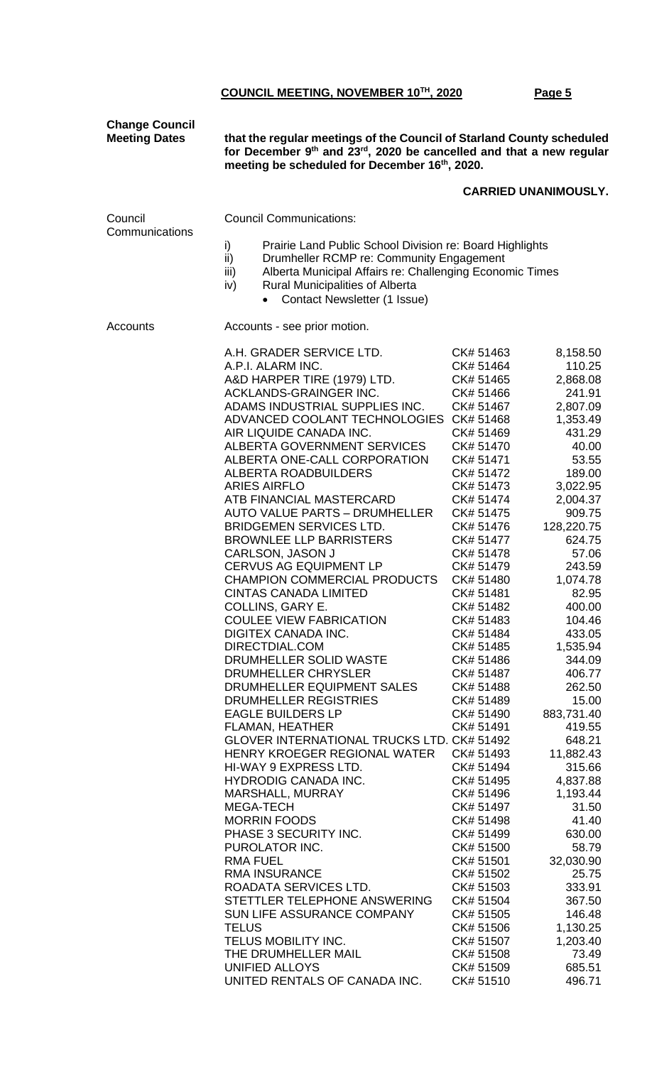| <b>Change Council</b><br><b>Meeting Dates</b> | that the regular meetings of the Council of Starland County scheduled<br>for December 9th and 23rd, 2020 be cancelled and that a new regular<br>meeting be scheduled for December 16th, 2020.                                                                                                                                                                                                                                                                                                                                                                                                                                                                                                                                                                                                                                                                                                                                                                                                                                                                                                                                                                                                                                                                                                                                                          |                                                                                                                                                                                                                                                                                                                                                                                                                                                                                                                                                                                                                                 |                                                                                                                                                                                                                                                                                                                                                                                                                                                                                                                          |  |  |
|-----------------------------------------------|--------------------------------------------------------------------------------------------------------------------------------------------------------------------------------------------------------------------------------------------------------------------------------------------------------------------------------------------------------------------------------------------------------------------------------------------------------------------------------------------------------------------------------------------------------------------------------------------------------------------------------------------------------------------------------------------------------------------------------------------------------------------------------------------------------------------------------------------------------------------------------------------------------------------------------------------------------------------------------------------------------------------------------------------------------------------------------------------------------------------------------------------------------------------------------------------------------------------------------------------------------------------------------------------------------------------------------------------------------|---------------------------------------------------------------------------------------------------------------------------------------------------------------------------------------------------------------------------------------------------------------------------------------------------------------------------------------------------------------------------------------------------------------------------------------------------------------------------------------------------------------------------------------------------------------------------------------------------------------------------------|--------------------------------------------------------------------------------------------------------------------------------------------------------------------------------------------------------------------------------------------------------------------------------------------------------------------------------------------------------------------------------------------------------------------------------------------------------------------------------------------------------------------------|--|--|
|                                               |                                                                                                                                                                                                                                                                                                                                                                                                                                                                                                                                                                                                                                                                                                                                                                                                                                                                                                                                                                                                                                                                                                                                                                                                                                                                                                                                                        |                                                                                                                                                                                                                                                                                                                                                                                                                                                                                                                                                                                                                                 | <b>CARRIED UNANIMOUSLY.</b>                                                                                                                                                                                                                                                                                                                                                                                                                                                                                              |  |  |
| Council<br>Communications                     | <b>Council Communications:</b>                                                                                                                                                                                                                                                                                                                                                                                                                                                                                                                                                                                                                                                                                                                                                                                                                                                                                                                                                                                                                                                                                                                                                                                                                                                                                                                         |                                                                                                                                                                                                                                                                                                                                                                                                                                                                                                                                                                                                                                 |                                                                                                                                                                                                                                                                                                                                                                                                                                                                                                                          |  |  |
|                                               | i)<br>Prairie Land Public School Division re: Board Highlights<br>ii)<br>Drumheller RCMP re: Community Engagement<br>Alberta Municipal Affairs re: Challenging Economic Times<br>iii)<br><b>Rural Municipalities of Alberta</b><br>iv)<br>Contact Newsletter (1 Issue)                                                                                                                                                                                                                                                                                                                                                                                                                                                                                                                                                                                                                                                                                                                                                                                                                                                                                                                                                                                                                                                                                 |                                                                                                                                                                                                                                                                                                                                                                                                                                                                                                                                                                                                                                 |                                                                                                                                                                                                                                                                                                                                                                                                                                                                                                                          |  |  |
| Accounts                                      | Accounts - see prior motion.                                                                                                                                                                                                                                                                                                                                                                                                                                                                                                                                                                                                                                                                                                                                                                                                                                                                                                                                                                                                                                                                                                                                                                                                                                                                                                                           |                                                                                                                                                                                                                                                                                                                                                                                                                                                                                                                                                                                                                                 |                                                                                                                                                                                                                                                                                                                                                                                                                                                                                                                          |  |  |
|                                               | A.H. GRADER SERVICE LTD.<br>A.P.I. ALARM INC.<br>A&D HARPER TIRE (1979) LTD.<br>ACKLANDS-GRAINGER INC.<br>ADAMS INDUSTRIAL SUPPLIES INC.<br>ADVANCED COOLANT TECHNOLOGIES<br>AIR LIQUIDE CANADA INC.<br>ALBERTA GOVERNMENT SERVICES<br>ALBERTA ONE-CALL CORPORATION<br><b>ALBERTA ROADBUILDERS</b><br><b>ARIES AIRFLO</b><br>ATB FINANCIAL MASTERCARD<br><b>AUTO VALUE PARTS - DRUMHELLER</b><br><b>BRIDGEMEN SERVICES LTD.</b><br><b>BROWNLEE LLP BARRISTERS</b><br>CARLSON, JASON J<br><b>CERVUS AG EQUIPMENT LP</b><br><b>CHAMPION COMMERCIAL PRODUCTS</b><br><b>CINTAS CANADA LIMITED</b><br>COLLINS, GARY E.<br><b>COULEE VIEW FABRICATION</b><br>DIGITEX CANADA INC.<br>DIRECTDIAL.COM<br>DRUMHELLER SOLID WASTE<br>DRUMHELLER CHRYSLER<br>DRUMHELLER EQUIPMENT SALES<br>DRUMHELLER REGISTRIES<br><b>EAGLE BUILDERS LP</b><br>FLAMAN, HEATHER<br>GLOVER INTERNATIONAL TRUCKS LTD. CK# 51492<br>HENRY KROEGER REGIONAL WATER<br>HI-WAY 9 EXPRESS LTD.<br><b>HYDRODIG CANADA INC.</b><br>MARSHALL, MURRAY<br>MEGA-TECH<br><b>MORRIN FOODS</b><br>PHASE 3 SECURITY INC.<br>PUROLATOR INC.<br><b>RMA FUEL</b><br><b>RMA INSURANCE</b><br>ROADATA SERVICES LTD.<br>STETTLER TELEPHONE ANSWERING<br>SUN LIFE ASSURANCE COMPANY<br><b>TELUS</b><br><b>TELUS MOBILITY INC.</b><br>THE DRUMHELLER MAIL<br>UNIFIED ALLOYS<br>UNITED RENTALS OF CANADA INC. | CK# 51463<br>CK# 51464<br>CK# 51465<br>CK# 51466<br>CK# 51467<br>CK# 51468<br>CK# 51469<br>CK# 51470<br>CK# 51471<br>CK# 51472<br>CK# 51473<br>CK# 51474<br>CK# 51475<br>CK# 51476<br>CK# 51477<br>CK# 51478<br>CK# 51479<br>CK# 51480<br>CK# 51481<br>CK# 51482<br>CK# 51483<br>CK# 51484<br>CK# 51485<br>CK# 51486<br>CK# 51487<br>CK# 51488<br>CK# 51489<br>CK# 51490<br>CK# 51491<br>CK# 51493<br>CK# 51494<br>CK# 51495<br>CK# 51496<br>CK# 51497<br>CK# 51498<br>CK# 51499<br>CK# 51500<br>CK# 51501<br>CK# 51502<br>CK# 51503<br>CK# 51504<br>CK# 51505<br>CK# 51506<br>CK# 51507<br>CK# 51508<br>CK# 51509<br>CK# 51510 | 8,158.50<br>110.25<br>2,868.08<br>241.91<br>2,807.09<br>1,353.49<br>431.29<br>40.00<br>53.55<br>189.00<br>3,022.95<br>2,004.37<br>909.75<br>128,220.75<br>624.75<br>57.06<br>243.59<br>1,074.78<br>82.95<br>400.00<br>104.46<br>433.05<br>1,535.94<br>344.09<br>406.77<br>262.50<br>15.00<br>883,731.40<br>419.55<br>648.21<br>11,882.43<br>315.66<br>4,837.88<br>1,193.44<br>31.50<br>41.40<br>630.00<br>58.79<br>32,030.90<br>25.75<br>333.91<br>367.50<br>146.48<br>1,130.25<br>1,203.40<br>73.49<br>685.51<br>496.71 |  |  |